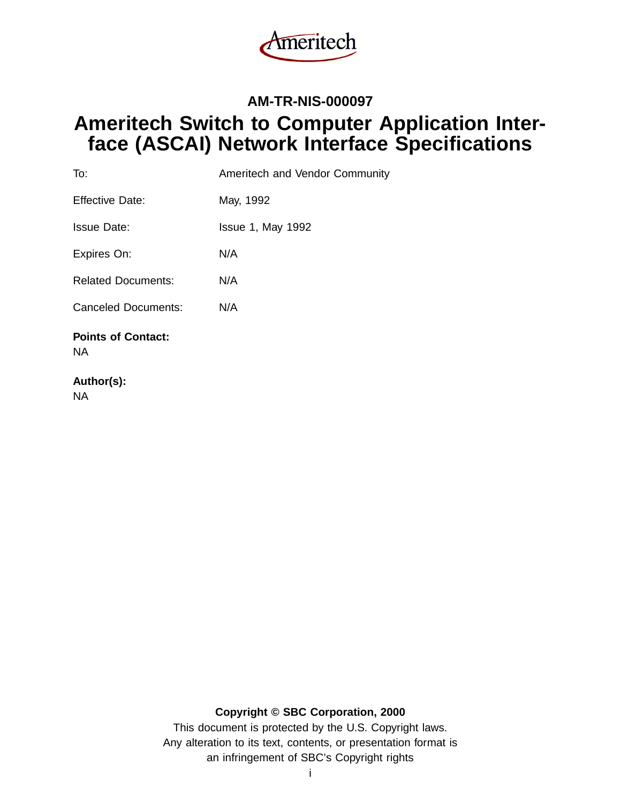

# **AM-TR-NIS-000097**

# **Ameritech Switch to Computer Application Interface (ASCAI) Network Interface Specifications**

| To:                              | Ameritech and Vendor Community |
|----------------------------------|--------------------------------|
| Effective Date:                  | May, 1992                      |
| <b>Issue Date:</b>               | <b>Issue 1, May 1992</b>       |
| Expires On:                      | N/A                            |
| <b>Related Documents:</b>        | N/A                            |
| Canceled Documents:              | N/A                            |
| <b>Points of Contact:</b><br>NA. |                                |
| Author(s):<br><b>NA</b>          |                                |

**Copyright © SBC Corporation, 2000**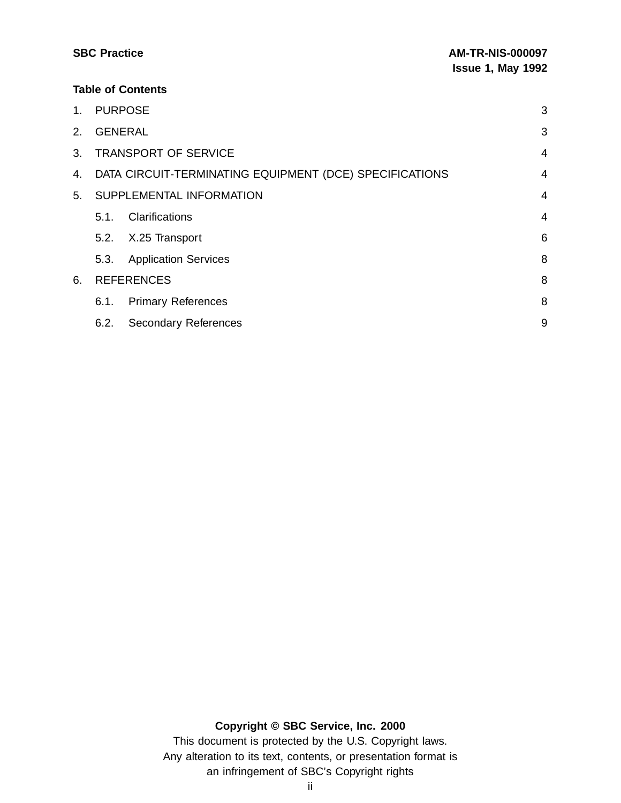#### **Table of Contents**

| 1. | <b>PURPOSE</b>                                          |                             |                |  |  |  |
|----|---------------------------------------------------------|-----------------------------|----------------|--|--|--|
| 2. | <b>GENERAL</b>                                          |                             |                |  |  |  |
| 3. | <b>TRANSPORT OF SERVICE</b>                             |                             |                |  |  |  |
| 4. | DATA CIRCUIT-TERMINATING EQUIPMENT (DCE) SPECIFICATIONS |                             |                |  |  |  |
| 5. | SUPPLEMENTAL INFORMATION                                |                             |                |  |  |  |
|    | 5.1.                                                    | Clarifications              | $\overline{4}$ |  |  |  |
|    | 5.2.                                                    | X.25 Transport              | 6              |  |  |  |
|    | 5.3.                                                    | <b>Application Services</b> | 8              |  |  |  |
| 6. | <b>REFERENCES</b>                                       |                             |                |  |  |  |
|    | 6.1.                                                    | <b>Primary References</b>   | 8              |  |  |  |
|    | 6.2.                                                    | <b>Secondary References</b> | 9              |  |  |  |

# **Copyright © SBC Service, Inc. 2000**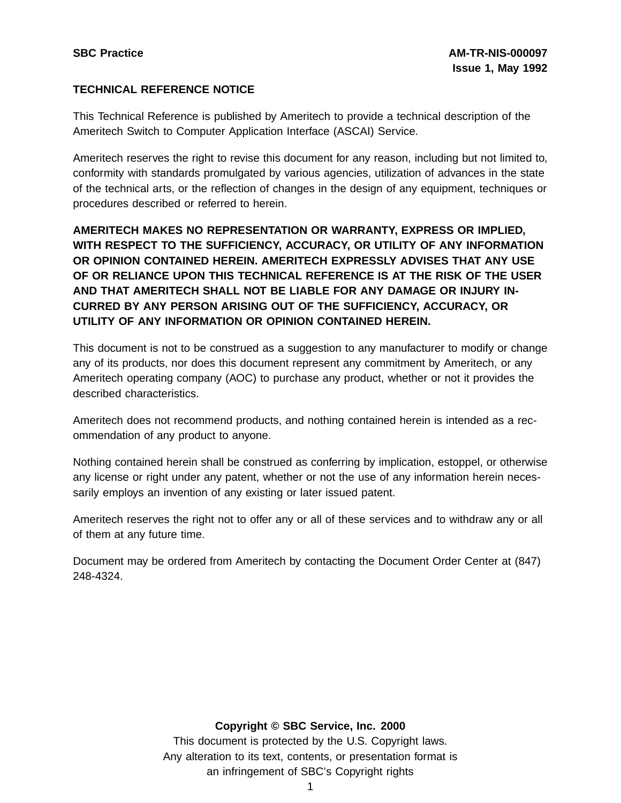# **TECHNICAL REFERENCE NOTICE**

This Technical Reference is published by Ameritech to provide a technical description of the Ameritech Switch to Computer Application Interface (ASCAI) Service.

Ameritech reserves the right to revise this document for any reason, including but not limited to, conformity with standards promulgated by various agencies, utilization of advances in the state of the technical arts, or the reflection of changes in the design of any equipment, techniques or procedures described or referred to herein.

**AMERITECH MAKES NO REPRESENTATION OR WARRANTY, EXPRESS OR IMPLIED, WITH RESPECT TO THE SUFFICIENCY, ACCURACY, OR UTILITY OF ANY INFORMATION OR OPINION CONTAINED HEREIN. AMERITECH EXPRESSLY ADVISES THAT ANY USE OF OR RELIANCE UPON THIS TECHNICAL REFERENCE IS AT THE RISK OF THE USER AND THAT AMERITECH SHALL NOT BE LIABLE FOR ANY DAMAGE OR INJURY IN-CURRED BY ANY PERSON ARISING OUT OF THE SUFFICIENCY, ACCURACY, OR UTILITY OF ANY INFORMATION OR OPINION CONTAINED HEREIN.**

This document is not to be construed as a suggestion to any manufacturer to modify or change any of its products, nor does this document represent any commitment by Ameritech, or any Ameritech operating company (AOC) to purchase any product, whether or not it provides the described characteristics.

Ameritech does not recommend products, and nothing contained herein is intended as a recommendation of any product to anyone.

Nothing contained herein shall be construed as conferring by implication, estoppel, or otherwise any license or right under any patent, whether or not the use of any information herein necessarily employs an invention of any existing or later issued patent.

Ameritech reserves the right not to offer any or all of these services and to withdraw any or all of them at any future time.

Document may be ordered from Ameritech by contacting the Document Order Center at (847) 248-4324.

### **Copyright © SBC Service, Inc. 2000**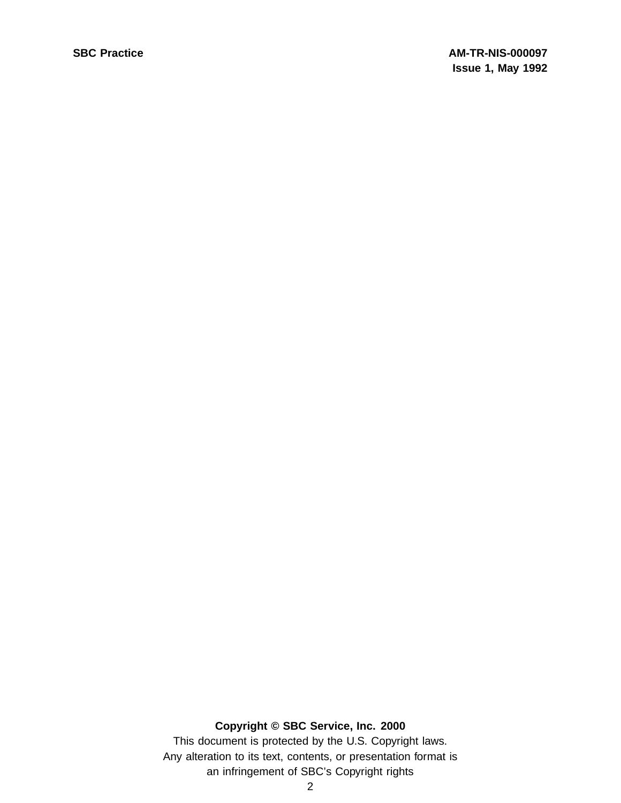# **Copyright © SBC Service, Inc. 2000**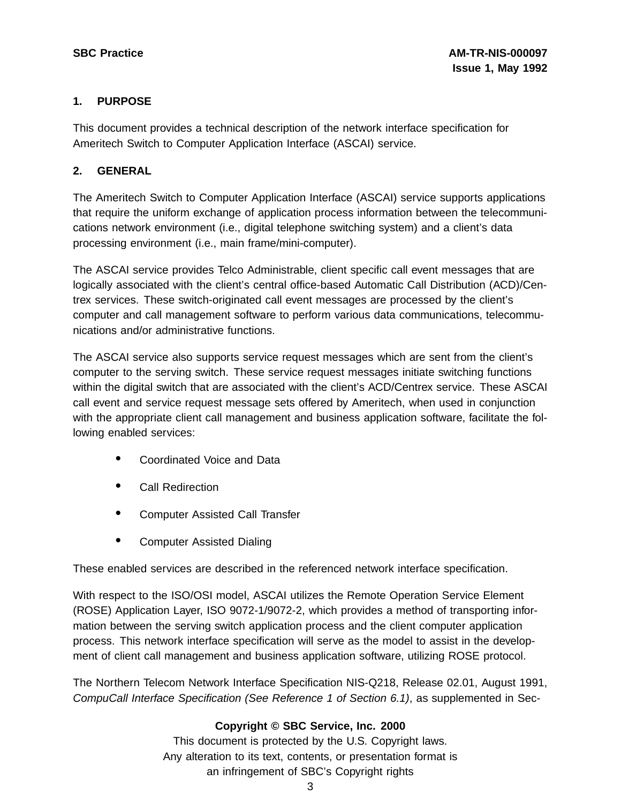# **1. PURPOSE**

This document provides a technical description of the network interface specification for Ameritech Switch to Computer Application Interface (ASCAI) service.

### **2. GENERAL**

The Ameritech Switch to Computer Application Interface (ASCAI) service supports applications that require the uniform exchange of application process information between the telecommunications network environment (i.e., digital telephone switching system) and a client's data processing environment (i.e., main frame/mini-computer).

The ASCAI service provides Telco Administrable, client specific call event messages that are logically associated with the client's central office-based Automatic Call Distribution (ACD)/Centrex services. These switch-originated call event messages are processed by the client's computer and call management software to perform various data communications, telecommunications and/or administrative functions.

The ASCAI service also supports service request messages which are sent from the client's computer to the serving switch. These service request messages initiate switching functions within the digital switch that are associated with the client's ACD/Centrex service. These ASCAI call event and service request message sets offered by Ameritech, when used in conjunction with the appropriate client call management and business application software, facilitate the following enabled services:

- Coordinated Voice and Data
- Call Redirection
- Computer Assisted Call Transfer
- Computer Assisted Dialing

These enabled services are described in the referenced network interface specification.

With respect to the ISO/OSI model, ASCAI utilizes the Remote Operation Service Element (ROSE) Application Layer, ISO 9072-1/9072-2, which provides a method of transporting information between the serving switch application process and the client computer application process. This network interface specification will serve as the model to assist in the development of client call management and business application software, utilizing ROSE protocol.

The Northern Telecom Network Interface Specification NIS-Q218, Release 02.01, August 1991, CompuCall Interface Specification (See Reference 1 of Section 6.1), as supplemented in Sec-

# **Copyright © SBC Service, Inc. 2000**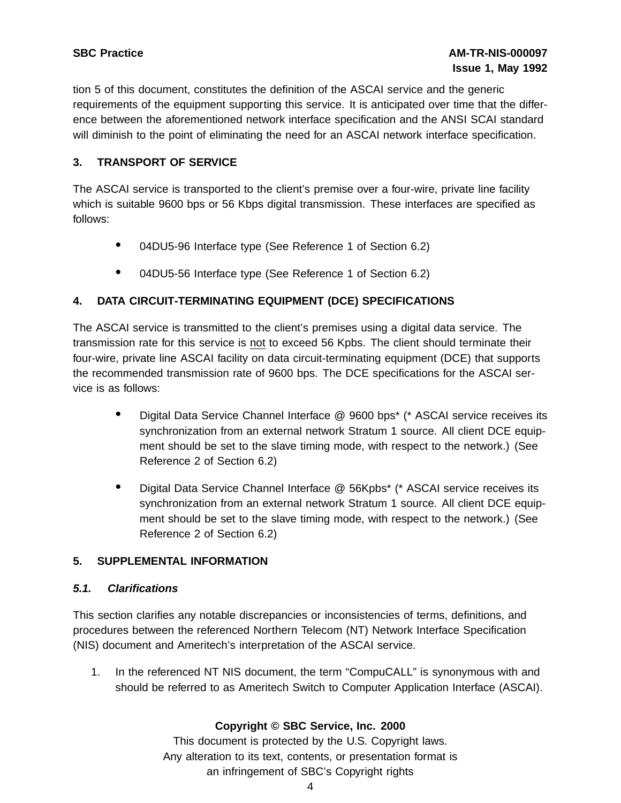tion 5 of this document, constitutes the definition of the ASCAI service and the generic requirements of the equipment supporting this service. It is anticipated over time that the difference between the aforementioned network interface specification and the ANSI SCAI standard will diminish to the point of eliminating the need for an ASCAI network interface specification.

# **3. TRANSPORT OF SERVICE**

The ASCAI service is transported to the client's premise over a four-wire, private line facility which is suitable 9600 bps or 56 Kbps digital transmission. These interfaces are specified as follows:

- 04DU5-96 Interface type (See Reference <sup>1</sup> of Section 6.2)
- 04DU5-56 Interface type (See Reference <sup>1</sup> of Section 6.2)

# **4. DATA CIRCUIT-TERMINATING EQUIPMENT (DCE) SPECIFICATIONS**

The ASCAI service is transmitted to the client's premises using a digital data service. The transmission rate for this service is not to exceed 56 Kpbs. The client should terminate their four-wire, private line ASCAI facility on data circuit-terminating equipment (DCE) that supports the recommended transmission rate of 9600 bps. The DCE specifications for the ASCAI service is as follows:

- Digital Data Service Channel Interface @ <sup>9600</sup> bps\* (\* ASCAI service receives its synchronization from an external network Stratum 1 source. All client DCE equipment should be set to the slave timing mode, with respect to the network.) (See Reference 2 of Section 6.2)
- Digital Data Service Channel Interface @ 56Kpbs\* (\* ASCAI service receives its synchronization from an external network Stratum 1 source. All client DCE equipment should be set to the slave timing mode, with respect to the network.) (See Reference 2 of Section 6.2)

# **5. SUPPLEMENTAL INFORMATION**

### **5.1. Clarifications**

This section clarifies any notable discrepancies or inconsistencies of terms, definitions, and procedures between the referenced Northern Telecom (NT) Network Interface Specification (NIS) document and Ameritech's interpretation of the ASCAI service.

1. In the referenced NT NIS document, the term "CompuCALL" is synonymous with and should be referred to as Ameritech Switch to Computer Application Interface (ASCAI).

# **Copyright © SBC Service, Inc. 2000**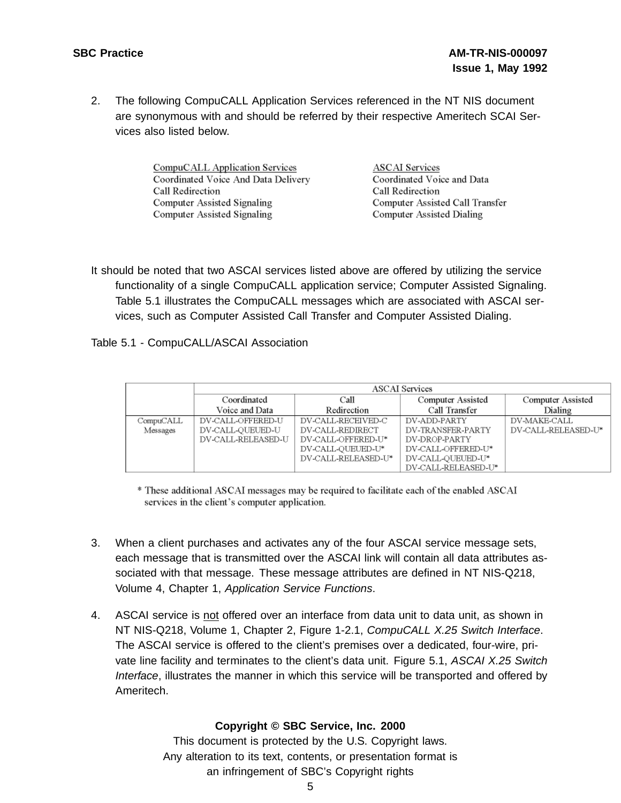2. The following CompuCALL Application Services referenced in the NT NIS document are synonymous with and should be referred by their respective Ameritech SCAI Services also listed below.

| CompuCALL Application Services      | <b>ASCAI Services</b>           |
|-------------------------------------|---------------------------------|
| Coordinated Voice And Data Delivery | Coordinated Voice and Data      |
| Call Redirection                    | Call Redirection                |
| Computer Assisted Signaling         | Computer Assisted Call Transfer |
| Computer Assisted Signaling         | Computer Assisted Dialing       |

It should be noted that two ASCAI services listed above are offered by utilizing the service functionality of a single CompuCALL application service; Computer Assisted Signaling. Table 5.1 illustrates the CompuCALL messages which are associated with ASCAI services, such as Computer Assisted Call Transfer and Computer Assisted Dialing.

# Table 5.1 - CompuCALL/ASCAI Association

|           | ASCAI Services     |                     |                     |                     |  |
|-----------|--------------------|---------------------|---------------------|---------------------|--|
|           | Coordinated        | Call                | Computer Assisted   | Computer Assisted   |  |
|           | Voice and Data     | Redirection         | Call Transfer       | Dialing             |  |
| CompuCALL | DV-CALL-OFFERED-U  | DV-CALL-RECEIVED-C  | DV-ADD-PARTY        | DV-MAKE-CALL        |  |
| Messages  | DV-CALL-QUEUED-U   | DV-CALL-REDIRECT    | DV-TRANSFER-PARTY   | DV-CALL-RELEASED-U* |  |
|           | DV-CALL-RELEASED-U | DV-CALL-OFFERED-U*  | DV-DROP-PARTY       |                     |  |
|           |                    | DV-CALL-QUEUED-U*   | DV-CALL-OFFERED-U*  |                     |  |
|           |                    | DV-CALL-RELEASED-U* | DV-CALL-QUEUED-U*   |                     |  |
|           |                    |                     | DV-CALL-RELEASED-U* |                     |  |

\* These additional ASCAI messages may be required to facilitate each of the enabled ASCAI services in the client's computer application.

- 3. When a client purchases and activates any of the four ASCAI service message sets, each message that is transmitted over the ASCAI link will contain all data attributes associated with that message. These message attributes are defined in NT NIS-Q218, Volume 4, Chapter 1, Application Service Functions.
- 4. ASCAI service is not offered over an interface from data unit to data unit, as shown in NT NIS-Q218, Volume 1, Chapter 2, Figure 1-2.1, CompuCALL X.25 Switch Interface. The ASCAI service is offered to the client's premises over a dedicated, four-wire, private line facility and terminates to the client's data unit. Figure 5.1, ASCAI X.25 Switch Interface, illustrates the manner in which this service will be transported and offered by Ameritech.

### **Copyright © SBC Service, Inc. 2000**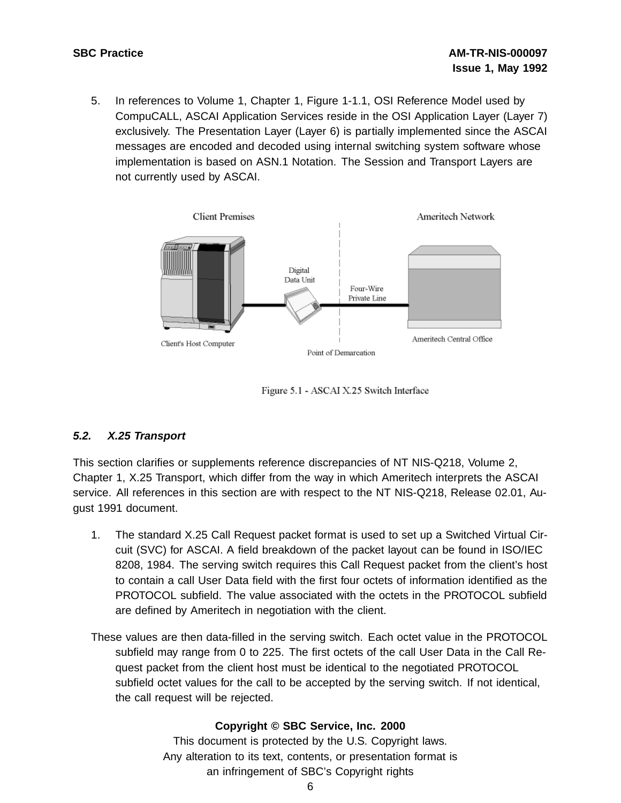5. In references to Volume 1, Chapter 1, Figure 1-1.1, OSI Reference Model used by CompuCALL, ASCAI Application Services reside in the OSI Application Layer (Layer 7) exclusively. The Presentation Layer (Layer 6) is partially implemented since the ASCAI messages are encoded and decoded using internal switching system software whose implementation is based on ASN.1 Notation. The Session and Transport Layers are not currently used by ASCAI.



Figure 5.1 - ASCAI X.25 Switch Interface

# **5.2. X.25 Transport**

This section clarifies or supplements reference discrepancies of NT NIS-Q218, Volume 2, Chapter 1, X.25 Transport, which differ from the way in which Ameritech interprets the ASCAI service. All references in this section are with respect to the NT NIS-Q218, Release 02.01, August 1991 document.

- 1. The standard X.25 Call Request packet format is used to set up a Switched Virtual Circuit (SVC) for ASCAI. A field breakdown of the packet layout can be found in ISO/IEC 8208, 1984. The serving switch requires this Call Request packet from the client's host to contain a call User Data field with the first four octets of information identified as the PROTOCOL subfield. The value associated with the octets in the PROTOCOL subfield are defined by Ameritech in negotiation with the client.
- These values are then data-filled in the serving switch. Each octet value in the PROTOCOL subfield may range from 0 to 225. The first octets of the call User Data in the Call Request packet from the client host must be identical to the negotiated PROTOCOL subfield octet values for the call to be accepted by the serving switch. If not identical, the call request will be rejected.

### **Copyright © SBC Service, Inc. 2000**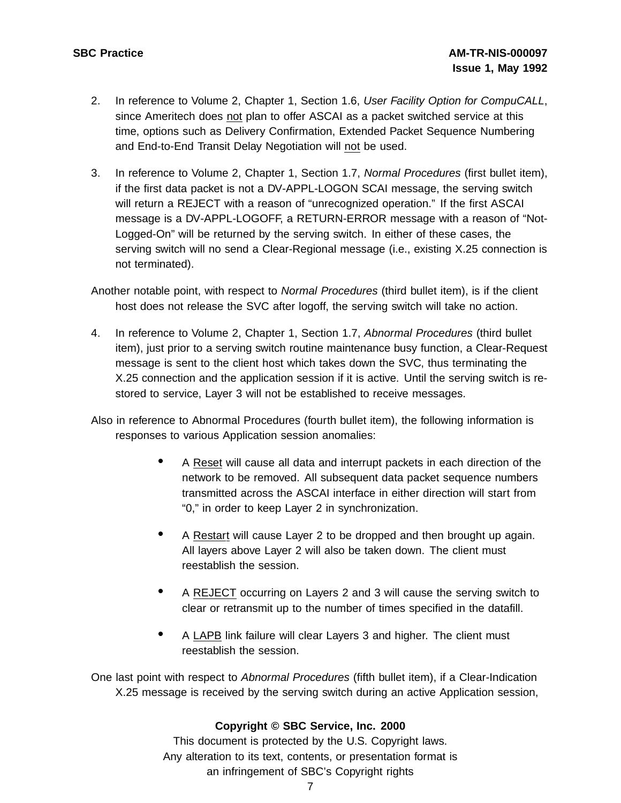- 2. In reference to Volume 2, Chapter 1, Section 1.6, User Facility Option for CompuCALL, since Ameritech does not plan to offer ASCAI as a packet switched service at this time, options such as Delivery Confirmation, Extended Packet Sequence Numbering and End-to-End Transit Delay Negotiation will not be used.
- 3. In reference to Volume 2, Chapter 1, Section 1.7, Normal Procedures (first bullet item), if the first data packet is not a DV-APPL-LOGON SCAI message, the serving switch will return a REJECT with a reason of "unrecognized operation." If the first ASCAI message is a DV-APPL-LOGOFF, a RETURN-ERROR message with a reason of "Not-Logged-On" will be returned by the serving switch. In either of these cases, the serving switch will no send a Clear-Regional message (i.e., existing X.25 connection is not terminated).
- Another notable point, with respect to Normal Procedures (third bullet item), is if the client host does not release the SVC after logoff, the serving switch will take no action.
- 4. In reference to Volume 2, Chapter 1, Section 1.7, Abnormal Procedures (third bullet item), just prior to a serving switch routine maintenance busy function, a Clear-Request message is sent to the client host which takes down the SVC, thus terminating the X.25 connection and the application session if it is active. Until the serving switch is restored to service, Layer 3 will not be established to receive messages.
- Also in reference to Abnormal Procedures (fourth bullet item), the following information is responses to various Application session anomalies:
	- <sup>A</sup> Reset will cause all data and interrupt packets in each direction of the network to be removed. All subsequent data packet sequence numbers transmitted across the ASCAI interface in either direction will start from "0," in order to keep Layer 2 in synchronization.
	- <sup>A</sup> Restart will cause Layer <sup>2</sup> to be dropped and then brought up again. All layers above Layer 2 will also be taken down. The client must reestablish the session.
	- <sup>A</sup> REJECT occurring on Layers <sup>2</sup> and <sup>3</sup> will cause the serving switch to clear or retransmit up to the number of times specified in the datafill.
	- A LAPB link failure will clear Layers 3 and higher. The client must reestablish the session.

One last point with respect to Abnormal Procedures (fifth bullet item), if a Clear-Indication X.25 message is received by the serving switch during an active Application session,

### **Copyright © SBC Service, Inc. 2000**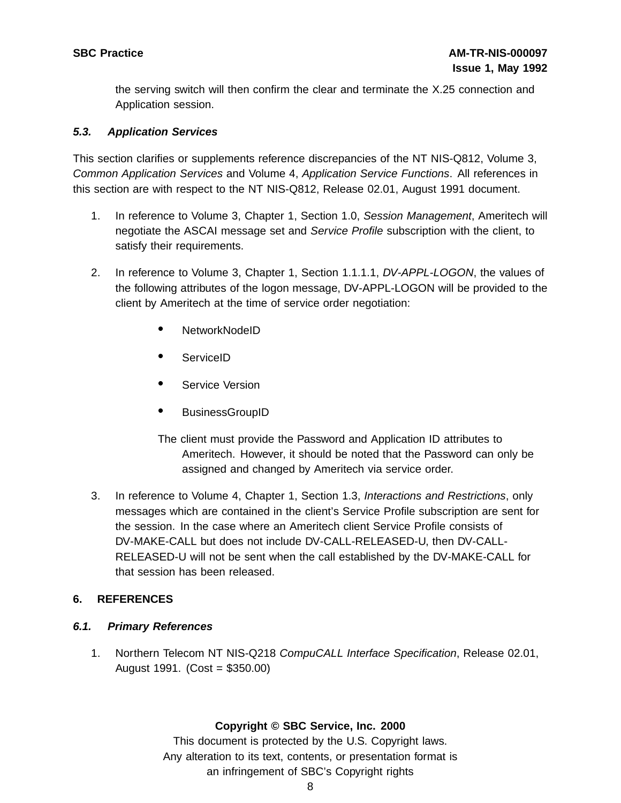the serving switch will then confirm the clear and terminate the X.25 connection and Application session.

# **5.3. Application Services**

This section clarifies or supplements reference discrepancies of the NT NIS-Q812, Volume 3, Common Application Services and Volume 4, Application Service Functions. All references in this section are with respect to the NT NIS-Q812, Release 02.01, August 1991 document.

- 1. In reference to Volume 3, Chapter 1, Section 1.0, Session Management, Ameritech will negotiate the ASCAI message set and Service Profile subscription with the client, to satisfy their requirements.
- 2. In reference to Volume 3, Chapter 1, Section 1.1.1.1, DV-APPL-LOGON, the values of the following attributes of the logon message, DV-APPL-LOGON will be provided to the client by Ameritech at the time of service order negotiation:
	- NetworkNodeID
	- ServiceID
	- Service Version
	- BusinessGroupID

The client must provide the Password and Application ID attributes to Ameritech. However, it should be noted that the Password can only be assigned and changed by Ameritech via service order.

3. In reference to Volume 4, Chapter 1, Section 1.3, Interactions and Restrictions, only messages which are contained in the client's Service Profile subscription are sent for the session. In the case where an Ameritech client Service Profile consists of DV-MAKE-CALL but does not include DV-CALL-RELEASED-U, then DV-CALL-RELEASED-U will not be sent when the call established by the DV-MAKE-CALL for that session has been released.

# **6. REFERENCES**

### **6.1. Primary References**

1. Northern Telecom NT NIS-Q218 CompuCALL Interface Specification, Release 02.01, August 1991. (Cost = \$350.00)

### **Copyright © SBC Service, Inc. 2000**